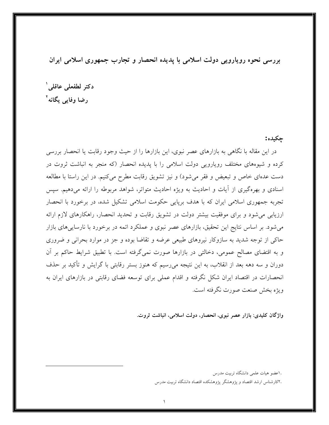بررسی نحوه رویارویی دولت اسلامی با پدیده انحصار و تجارب جمهوری اسلامی ایران

دكتر لطفعلى عاقلى ` رضا وفایی یگانه<sup>۲</sup>

### چکیده:

در این مقاله با نگاهی به بازارهای عصر نبوی، این بازارها را از حیث وجود رقابت یا انحصار بررسی کرده و شیوههای مختلف رویارویی دولت اسلامی را با پدیده انحصار (که منجر به انباشت ثروت در دست عدهای خاص و تبعیض و فقر می شود) و نیز تشویق رقابت مطرح می کنیم. در این راستا با مطالعه اسنادی و بهرهگیری از آیات و احادیث به ویژه احادیث متواتر، شواهد مربوطه را ارائه میدهیم. سپس تجربه جمهوری اسلامی ایران که با هدف برپایی حکومت اسلامی تشکیل شده، در برخورد با انحصار ارزیابی می شود و برای موفقیت بیشتر دولت در تشویق رقابت و تحدید انحصار، راهکارهای لازم ارائه می شود. بر اساس نتایج این تحقیق، بازارهای عصر نبوی و عملکرد ائمه در برخورد با نارسایی های بازار حاکی از توجه شدید به سازوکار نیروهای طبیعی عرضه و تقاضا بوده و جز در موارد بحرانی و ضروری و به اقتضای مصالح عمومی، دخالتی در بازارها صورت نمی گرفته است. با تطبیق شرایط حاکم بر آن دوران و سه دهه بعد از انقلاب، به این نتیجه میرسیم که هنوز بستر رقابتی با گرایش و تأکید بر حذف انحصارات در اقتصاد ایران شکل نگرفته و اقدام عملی برای توسعه فضای رقابتی در بازارهای ایران به ويژه بخش صنعت صورت نگرفته است.

واژگان کلیدی: بازار عصر نبوی، انحصار، دولت اسلامی، انباشت ثروت.

.اعضو هيات علمي دانشگاه تربيت مدرس

.۲کارشناس ارشد اقتصاد و یژوهشگر یژوهشکده اقتصاد دانشگاه تربیت مدرس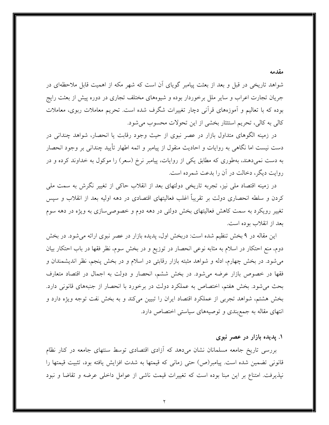شواهد تاریخی در قبل و بعد از بعثت پیامبر گویای آن است که شهر مکه از اهمیت قابل ملاحظهای در جریان تجارت اعراب و سایر ملل برخوردار بوده و شیوههای مختلف تجاری در دوره پیش از بعثت رایج بوده که با تعالیم و اَموزههای قرانبی دچار تغییرات شگرف شده است. تحریم معاملات ربوی، معاملات كالي به كالي، تحريم استئثار بخشي از اين تحولات محسوب مي شود.

در زمینه الگوهای متداول بازار در عصر نبوی از حیث وجود رقابت یا انحصار، شواهد چندانی در دست نیست اما نگاهی به روایات و احادیث منقول از پیامبر و ائمه اطهار تأیید چندانی بر وجود انحصار به دست نمیدهند، بهطوری که مطابق یکی از روایات، پیامبر نرخ (سعر) را موکول به خداوند کرده و در روايت ديگر، دخالت در آن را بدعت شمرده است.

در زمینه اقتصاد ملی نیز، تجربه تاریخی دولتهای بعد از انقلاب حاکی از تغییر نگرش به سمت ملی کردن و سلطه انحصاری دولت بر تقریباً اغلب فعالیتهای اقتصادی در دهه اولیه بعد از انقلاب و سیس تغییر رویکرد به سمت کاهش فعالیتهای بخش دولتی در دهه دوم و خصوصیسازی به ویژه در دهه سوم بعد از انقلاب بوده است.

این مقاله در ۹ بخش تنظیم شده است: دربخش اول، پدیده بازار در عصر نبوی ارائه می شود. در بخش دوم، منع احتکار در اسلام به مثابه نوعی انحصار در توزیع و در بخش سوم، نظر فقها در باب احتکار بیان می شود. در بخش چهارم، ادله و شواهد مثبته بازار رقابتی در اسلام و در بخش پنجم، نظر اندیشمندان و فقها در خصوص بازار عرضه میشود. در بخش ششم، انحصار و دولت به اجمال در اقتصاد متعارف بحث می شود. بخش هفتم، اختصاص به عملکرد دولت در برخورد با انحصار از جنبههای قانونی دارد. بخش هشتم، شواهد تجربی از عملکرد اقتصاد ایران را تبیین میکند و به بخش نفت توجه ویژه دارد و انتهای مقاله به جمع بندی و توصیههای سیاستی اختصاص دارد.

#### ۱. پدیده بازار در عصر نبوی

مقدمه

بررسی تاریخ جامعه مسلمانان نشان میدهد که آزادی اقتصادی توسط سنتهای جامعه در کنار نظام قانونی تضمین شده است. پیامبر(ص) حتی زمانی که قیمتها به شدت افزایش یافته بود، تثبیت قیمتها را نیذیرفت. امتناع بر این مبنا بوده است که تغییرات قیمت ناشی از عوامل داخلی عرضه و تقاضا و نبود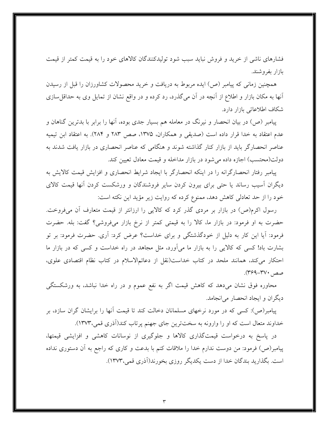فشارهای ناشی از خرید و فروش نباید سبب شود تولیدکنندگان کالاهای خود را به قیمت کمتر از قیمت بازار بفروشند.

همچنین زمانی که پیامبر (ص) ایده مربوط به دریافت و خرید محصولات کشاورزان را قبل از رسیدن آنها به مکان بازار و اطلاع از آنچه در آن میگذرد، رد کرده و در واقع نشان از تمایل وی به حداقل سازی شكاف اطلاعاتي بازار دارد.

پیامبر (ص) در بیان انحصار و نیرنگ در معامله هم بسیار جدی بوده، آنها را برابر با بدترین گناهان و عدم اعتقاد به خدا قرار داده است (صدیقی و همکاران، ۱۳۷۵، صص ۲۸۳ و ۲۸۴). به اعتقاد ابن تیمیه عناصر انحصارگر باید از بازار کنار گذاشته شوند و هنگامی که عناصر انحصاری در بازار یافت شدند به دولت(محتسب) اجازه داده می شود در بازار مداخله و قیمت معادل تعیین کند.

پیامبر رفتار انحصارگرانه را در اینکه انحصارگر با ایجاد شرایط انحصاری و افزایش قیمت کالایش به دیگران اسیب رساند یا حتی برای بیرون کردن سایر فروشندگان و ورشکست کردن انها قیمت کالای خود را از حد تعادلی کاهش دهد، ممنوع کرده که روایت زیر مؤید این نکته است:

رسول اکرم(ص) در بازار بر مردی گذر کرد که کالایی را ارزانتر از قیمت متعارف آن میفروخت. حضرت به او فرمود: در بازار ما، کالا را به قیمتی کمتر از نرخ بازار میفروشی؟ گفت: بله. حضرت فرمود: آیا این کار به دلیل از خودگذشتگی و برای خداست؟ عرض کرد: آری. حضرت فرمود: بر تو بشارت باد! کسی که کالایی را به بازار ما می آورد، مثل مجاهد در راه خداست و کسی که در بازار ما احتکار میکند، همانند ملحد در کتاب خداست(نقل از دعائمالاسلام در کتاب نظام اقتصادی علوی،  $(494 - 44)$ صص

محاوره فوق نشان میدهد که کاهش قیمت اگر به نفع عموم و در راه خدا نباشد، به ورشکستگی ديگران و ايجاد انحصار مي انجامد.

پیامبر(ص): کسی که در مورد نرخهای مسلمانان دخالت کند تا قیمت آنها را برایشان گران سازد، بر خداوند متعال است که او را وارونه به سختترین جای جهنم پرتاب کند(آذری قمی،۱۳۷۳).

در پاسخ به درخواست قیمتگذاری کالاها و جلوگیری از نوسانات کاهشی و افزایشی قیمتها، پیامبر(ص) فرمود: من دوست ندارم خدا را ملاقات کنم با بدعت و کاری که راجع به آن دستوری نداده است. بگذارید بندگان خدا از دست یکدیگر روزی بخورند(آذری قمی،۱۳۷۳).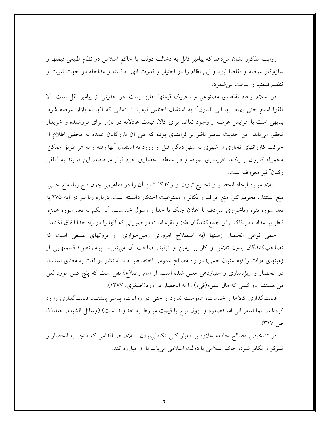روایت مذکور نشان میدهد که پیامبر قائل به دخالت دولت یا حاکم اسلامی در نظام طبیعی قیمتها و سازوکار عرضه و تقاضا نبود و این نظام را در اختیار و قدرت الهی دانسته و مداخله در جهت تثبیت و تنظيم قيمتها را بدعت مي شمرد.

در اسلام ایجاد تقاضای مصنوعی و تحریک قیمتها جایز نیست. در حدیثی از پیامبر نقل است: "لا تلقوا اسلع حتى يهبط بها الى السوق": به استقبال اجناس نرويد تا زمانى كه أنها به بازار عرضه شود. بدیهی است با افزایش عرضه و وجود تقاضا برای کالا، قیمت عادلانه در بازار برای فروشنده و خریدار تحقق می،یابد. این حدیث پیامبر ناظر بر فرایندی بوده که طی آن بازرگانان عمده به محض اطلاع از حرکت کاروانهای تجاری از شهری به شهر دیگر، قبل از ورود به استقبال آنها رفته و به هر طریق ممکن، محموله کاروان را یکجا خریداری نموده و در سلطه انحصاری خود قرار میدادند. این فرایند به "تلقی ركبان" نيز معروف است.

اسلام موارد ایجاد انحصار و تجمیع ثروت و راکدگذاشتن آن را در مفاهیمی چون منع ربا، منع حمی، منع استئثار، تحریم کنز، منع اتراف و تکاثر و ممنوعیت احتکار دانسته است. درباره ربا نیز در آیه ۲۷۵ به بعد سوره بقره رباخواری مترادف با اعلان جنگ با خدا و رسول خداست. آیه یکم به بعد سوره همزه، ناظر بر عذاب دردناک برای جمع کنندگان طلا و نقره است در صورتی که آنها را در راه خدا انفاق نکنند.

حمی نوعی انحصار زمینها (به اصطلاح امروزی زمینخواری) و ثروتهای طبیعی است که تصاحبِکنندگان بدون تلاش و کار بر زمین و تولید، صاحب آن میشوند. پیامبر(ص) قسمتهایی از زمینهای موات را (به عنوان حمی) در راه مصالح عمومی اختصاص داد. استئثار در لغت به معنای استبداد در انحصار و ویژهسازی و امتیازدهی معنی شده است. از امام رضا(ع) نقل است که پنج کس مورد لعن من هستند …و کسی که مال عموم(فیء) را به انحصار درآورد(اصغری، ۱۳۷۷).

قیمتگذاری کالاها و خدمات، عمومیت ندارد و حتی در روایات، پیامبر پیشنهاد قیمتگذاری را رد كردهاند: انما اسعر الى الله (صعود و نزول نرخ يا قيمت مربوط به خداوند است) (وسائل الشيعه، جلد١١، ص ۳۱۷).

در تشخیص مصالح جامعه علاوه بر معیار کلی تکاملی بودن اسلام، هر اقدامی که منجر به انحصار و تمرکز و تکاثر شود، حاکم اسلامی یا دولت اسلامی میباید با آن مبارزه کند.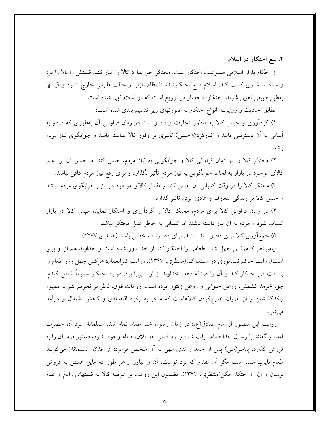۲. منع احتکار در اسلام

از احکام بازار اسلامی ممنوعیت احتکار است. محتکر حق ندارد کالا را انبار کند، قیمتش را بالا را برد و سود سرشاری کسب کند. اسلام مانع احتکارشده تا نظام بازار از حالت طبیعی خارج نشود و قیمتها بهطور طبیعی تعیین شوند. احتکار، انحصار در توزیع است که در اسلام نهی شده است.

مطابق احادیث و روایات، انواع احتکار به صورتهای زیر تقسیم بندی شده است:

۱) گردآوری و حبس کالا به منظور تجارت و داد و ستد در زمان فراوانی آن بهطوری که مردم به آسانی به آن دسترسی پابند و انبارکردن(حبس) تأثیری بر وفور کالا نداشته باشد و جوابگوی نیاز مردم باشد.

۲) محتکر کالا را در زمان فراوانی کالا و جوابگویی به نیاز مردم، حبس کند اما حبس آن بر روی کالای موجود در بازار به لحاظ جوابگویی به نیاز مردم تأثیر بگذارد و برای رفع نیاز مردم کافی نباشد.

۳) محتکر کالا را در وقت کمپاېي آن حبس کند و مقدار کالاي موجود در بازار جوابگوي مردم نباشد و حبس کالا بر زندگی متعارف و عادی مردم تأثیر گذارد.

۴) در زمان فراوانی کالا برای مردم، محتکر کالا را گردآوری و احتکار نماید، سپس کالا در بازار کمیاب شود و مردم به آن نیاز داشته باشند اما کمیابی به خاطر عمل محتکر نباشد.

۵) جمع آوری کالا برای داد و ستد نباشد، برای مصارف شخصی باشد (اصغری،۱۳۷۷).

پیامبر(ص): هرکس چهل شب طعامی را احتکار کند از خدا دور شده است و خداوند هم از او بری است(روایت حاکم نیشابوری در مستدرک)(منتظری، ۱۳۶۷). روایت کنزالعمال: هرکس چهل روز طعام را بر امت من احتکار کند و آن را صدقه دهد، خداوند از او نمیپذیرد. موارد احتکار عموماً شامل گندم، جو، خرما، كشمش، روغن حيواني و روغن زيتون بوده است. روايات فوق، ناظر بر تحريم كنز به مفهوم راکدگذاشتن و از جریان خارجکردن کالاهاست که منجر به رکود اقتصادی و کاهش اشتغال و درآمد مے شو د.

روايت ابن منصور از امام صادق(ع): در زمان رسول خدا طعام تمام شد. مسلمانان نزد آن حضرت آمده و گفتند يا رسول خدا طعام ناياب شده و نزد كسي جز فلان، طعام وجود ندارد، دستور فرما آن را به فروش گذارد. پیامبر(ص) پس از حمد و ثنای الهی به آن شخص فرمود: ای فلان، مسلمانان می گویند طعام نایاب شده است مگر آن مقدار که نزد توست، آن را بیاور و هر طور که مایل هستی به فروش برسان و آن را احتکار مکن(منتظری، ۱۳۶۷). مضمون این روایت بر عرضه کالا به قیمتهای رایج و عدم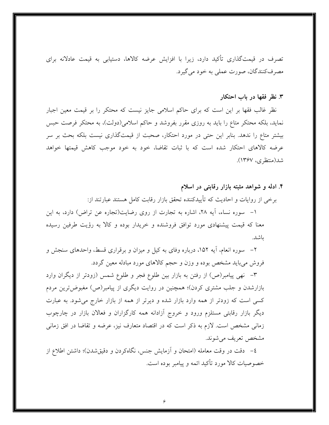تصرف در قیمتگذاری تأکید دارد، زیرا با افزایش عرضه کالاها، دستیابی به قیمت عادلانه برای مصرف کنندگان، صورت عملي به خود مي گيرد.

### ۳. نظر فقها در باب احتکار

ىاشد.

نظر غالب فقها بر این است که برای حاکم اسلامی جایز نیست که محتکر را بر قیمت معین اجبار نماید، بلکه محتکر متاع را باید به روزی مقرر بفروشد و حاکم اسلامی(دولت)، به محتکر فرصت حبس بیشتر متاع را ندهد. بنابر این حتی در مورد احتکار، صحبت از قیمتگذاری نیست بلکه بحث بر سر عرضه كالاهاى احتكار شده است كه با ثبات تقاضا، خود به خود موجب كاهش قيمتها خواهد شد(منتظرى، ١٣۶٧).

۴. ادله و شواهد مثبته بازار رقابتی در اسلام برخي از روايات و احاديث كه تأييدكننده تحقق بازار رقابت كامل هستند عبارتند از: ١- سوره نساء، آيه ٢٨، اشاره به تجارت از روى رضايت(تجاره عن تراض) دارد، به اين معنا که قیمت پیشنهادی مورد توافق فروشنده و خریدار بوده و کالا به رؤیت طرفین رسیده

۲– سوره انعام، آیه ۱۵۲، درباره وفای به کیل و میزان و برقراری قسط، واحدهای سنجش و فروش میباید مشخص بوده و وزن و حجم کالاهای مورد مبادله معین گردد.

٣– نهي پيامبر(ص) از رفتن به بازار بين طلوع فجر و طلوع شمس (زودتر از ديگران وارد بازارشدن و جلب مشتری کردن)؛ همچنین در روایت دیگری از پیامبر(ص) مغبوضترین مردم کسی است که زودتر از همه وارد بازار شده و دیرتر از همه از بازار خارج میشود. به عبارت دیگر بازار رقابتی مستلزم ورود و خروج آزادانه همه کارگزاران و فعالان بازار در چارچوب زمانی مشخص است. لازم به ذکر است که در اقتصاد متعارف نیز، عرضه و تقاضا در افق زمانی مشخص تعریف می شوند.

٤– دقت در وقت معامله (امتحان و آزمایش جنس، نگاهکردن و دقیقشدن)؛ داشتن اطلاع از خصوصیات کالا مورد تأکید ائمه و پیامبر بوده است.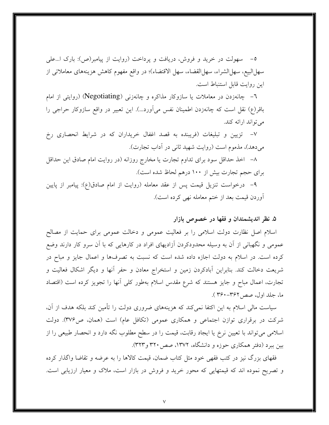٥– سهولت در خرید و فروش، دریافت و پرداخت (روایت از پیامبر(ص): بارک ا…علمی سهلالبيع، سهلالشراء، سهلالقضاء، سهل الاقتضاء)؛ در واقع مفهوم كاهش هزينههاي معاملاتي از اين روايت قابل استنباط است.

٦– چانەزدن در معاملات یا سازوکار مذاکره و چانەزنی (Negotiating) (روایتی از امام باقر(ع) نقل است که چانهزدن اطمینان نفس میآورد...). این تعبیر در واقع سازوکار حراجی را می تواند ارائه کند.

٧- تزیین و تبلیغات (فریبنده به قصد اغفال خریداران که در شرایط انحصاری رخ می دهد)، مذموم است (روایت شهید ثانی در آداب تجارت).

٨- اخذ حداقل سود براي تداوم تجارت يا مخارج روزانه (در روايت امام صادق اين حداقل برای حجم تجارت بیش از ۱۰۰ درهم لحاظ شده است).

۹– درخواست تنزیل قیمت پس از عقد معامله (روایت از امام صادق(ع): پیامبر از پایین آوردن قیمت بعد از ختم معامله نه<sub>ی</sub> کرده است).

# ۵. نظر اندیشمندان و فقها در خصوص بازار

اسلام اصل نظارت دولت اسلامی را بر فعالیت عمومی و دخالت عمومی برای حمایت از مصالح عمومی و نگهبانی از آن به وسیله محدودکردن اَزادیهای افراد در کارهایی که با اَن سرو کار دارند وضع کرده است. در اسلام به دولت اجازه داده شده است که نسبت به تصرفها و اعمال جایز و مباح در شریعت دخالت کند. بنابراین آبادکردن زمین و استخراج معادن و حفر آنها و دیگر اشکال فعالیت و تجارت، اعمال مباح و جایز هستند که شرع مقدس اسلام بهطور کلی آنها را تجویز کرده است (اقتصاد ما، جلد اول، صص۱۳۶۲–۳۶۰).

سیاست مالی اسلام به این اکتفا نمی کند که هزینههای ضروری دولت را تأمین کند بلکه هدف از آن، شرکت در برقراری توازن اجتماعی و همکاری عمومی (تکافل عام) است (همان، ص۳۷۶). دولت اسلامی میتواند با تعیین نرخ یا ایجاد رقابت، قیمت را در سطح مطلوب نگه دارد و انحصار طبیعی را از بین ببرد (دفتر همکاری حوزه و دانشگاه، ۱۳۷۲، صص۲۲۰ و۳۲۳).

فقهای بزرگ نیز در کتب فقهی خود مثل کتاب ضمان، قیمت کالاها را به عرضه و تقاضا واگذار کرده و تصریح نموده اند که قیمتهایی که محور خرید و فروش در بازار است، ملاک و معیار ارزیابی است.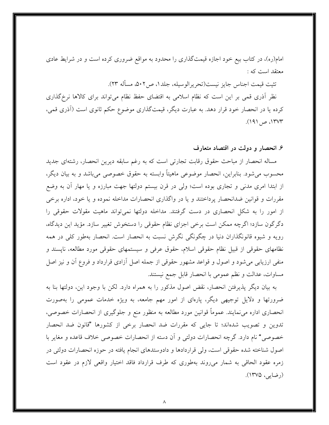امام(ره)، در کتاب بیع خود اجازه قیمتگذاری را محدود به مواقع ضروری کرده است و در شرایط عادی معتقد است که :

تثيت قيمت اجناس جايز نيست(تحريرالوسيله، جلد ١، ص٢٠٢، مسأله ٢٣).

نظر اَذری قمی بر این است که نظام اسلامی به اقتضای حفظ نظام میتواند برای کالاها نرخگذاری کرده یا در انحصار خود قرار دهد. به عبارت دیگر، قیمتگذاری موضوع حکم ثانوی است (آذری قمی،  $(191)$  ص (١٣٧٣).

### ۶. انحصار و دولت در اقتصاد متعارف

مساله انحصار از مباحث حقوق رقابت تجارتي است كه به رغم سابقه ديرين انحصار، رشتهاى جديد محسوب مي شود. بنابراين، انحصار موضوعي ماهيتاً وابسته به حقوق خصوصي مي باشد و به بيان ديگر، از ابتدا امری مدنی و تجاری بوده است؛ ولی در قرن بیستم دولتها جهت مبارزه و یا مهار آن به وضع مقررات و قوانین ضدانحصار پرداختند و یا در واگذاری انحصارات مداخله نموده و یا خود، اداره برخی از امور را به شکل انحصاری در دست گرفتند. مداخله دولتها نمی تواند ماهیت مقولات حقوقی را دگرگون سازد؛ اگرچه ممکن است برخی اجزای نظام حقوقی را دستخوش تغییر سازد. مؤید این دیدگاه، رويه و شيوه قانونگذاران دنيا در چگونگي نگرش نسبت به انحصار است. انحصار بهطور كلي در همه نظامهای حقوقی از قبیل نظام حقوقی اسلام، حقوق عرفی و سیستمهای حقوقی مورد مطالعه، ناپسند و منفی ارزیابی می شود و اصول و قواعد مشهور حقوقی از جمله اصل آزادی قرارداد و فروع آن و نیز اصل مساوات، عدالت و نظم عمومي با انحصار قابل جمع نيستند.

به بیان دیگر پذیرفتن انحصار، نقض اصول مذکور را به همراه دارد. لکن با وجود این، دولتها بنا به ضرورتها و دلایل توجیهی دیگر، پارهای از امور مهم جامعه، به ویژه خدمات عمومی را بهصورت انحصاری اداره می نمایند. عموماً قوانین مورد مطالعه به منظور منع و جلوگیری از انحصارات خصوصی، تدوین و تصویب شدهاند؛ تا جایی که مقررات ضد انحصار برخی از کشورها "قانون ضد انحصار خصوصیٌ نام دارد. گرچه انحصارات دولتی و آن دسته از انحصارات خصوصی خلاف قاعده و مغایر با اصول شناخته شده حقوقی است، ولی قراردادها و دادوستدهای انجام یافته در حوزه انحصارات دولتی در زمره عقود الحاقي به شمار مي روند بهطوري كه طرف قرارداد فاقد اختيار واقعي لازم در عقود است (رضایی، ۱۳۷۵).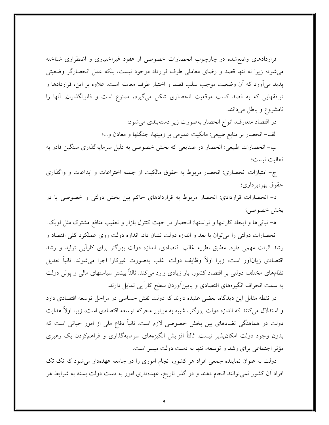قراردادهای وضع شده در چارچوب انحصارات خصوصی از عقود غیراختیاری و اضطراری شناخته می شود؛ زیرا نه تنها قصد و رضای معاملی طرف قرارداد موجود نیست، بلکه عمل انحصارگر وضعیتی يديد مي[ورد كه أن وضعيت موجب سلب قصد و اختيار طرف معامله است. علاوه بر اين، قراردادها و توافقهایی که به قصد کسب موقعیت انحصاری شکل میگیرد، ممنوع است و قانونگذاران، آنها را نامشروع وباطل مى دانند.

> در اقتصاد متعارف، انواع انحصار بهصورت زير دستهبندي مي شود: الف– انحصار بر منابع طبیعی: مالکیت عمومی بر زمینها، جنگلها و معادن و...؛

ب- انحصارات طبیعی: انحصار در صنایعی که بخش خصوصی به دلیل سرمایهگذاری سنگین قادر به فعاليت نيست؛

ج- امتیازات انحصاری: انحصار مربوط به حقوق مالکیت از جمله اختراعات و ابداعات و واگذاری حقوق بهرهبر داري؛

د- انحصارات قراردادی: انحصار مربوط به قراردادهای حاکم بین بخش دولتی و خصوصی یا در بخش خصوصى؛

ه– تبانیها و ایجاد کارتلها و تراستها: انحصار در جهت کنترل بازار و تعقیب منافع مشترک مثل اوپک. انحصارات دولتی را می توان با بعد و اندازه دولت نشان داد. اندازه دولت روی عملکرد کلی اقتصاد و رشد اثرات مهمی دارد. مطابق نظریه غالب اقتصادی، اندازه دولت بزرگتر برای کارآیی تولید و رشد اقتصادي زيانآور است، زيرا اولاً وظايف دولت اغلب بهصورت غيركارا اجرا مى شوند. ثانياً تعديل نظامهای مختلف دولتی بر اقتصاد کشور، بار زیادی وارد میکند. ثالثاً بیشتر سیاستهای مالی و پولی دولت به سمت انحراف انگیزههای اقتصادی و پایینآوردن سطح کاراًیی تمایل دارند.

در نقطه مقابل این دیدگاه، بعضی عقیده دارند که دولت نقش حساسی در مراحل توسعه اقتصادی دارد و استدلال میکنند که اندازه دولت بزرگتر، شبیه به موتور محرکه توسعه اقتصادی است، زیرا اولاً هدایت دولت در هماهنگی تضادهای بین بخش خصوصی لازم است. ثانیاً دفاع ملی از امور حیاتی است که بدون وجود دولت امکان پذیر نیست. ثالثاً افزایش انگیزههای سرمایهگذاری و فراهمکردن یک رهبری مؤثر اجتماعی برای رشد و توسعه، تنها به دست دولت میسر است.

دولت به عنوان نماینده جمعی افراد هر کشور، انجام اموری را در جامعه عهدهدار می شود که تک تک افراد آن کشور نمیتوانند انجام دهند و در گذر تاریخ، عهدهداری امور به دست دولت بسته به شرایط هر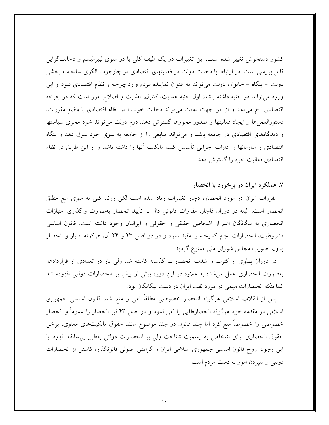کشور دستخوش تغییر شده است. این تغییرات در یک طیف کلی با دو سوی لیبرالیسم و دخالتگرایی قابل بررسی است. در ارتباط با دخالت دولت در فعالیتهای اقتصادی در چارچوب الگوی ساده سه بخشی دولت – بنگاه – خانوار، دولت می تواند به عنوان نماینده مردم وارد چرخه و نظام اقتصادی شود و این ورود می تواند دو جنبه داشته باشد: اول جنبه هدایت، کنترل، نظارت و اصلاح امور است که در چرخه اقتصادی رخ می دهد و از این جهت دولت می تواند دخالت خود را در نظام اقتصادی با وضع مقررات، دستورالعملها و ایجاد فعالیتها و صدور مجوزها گسترش دهد. دوم دولت می تواند خود مجری سیاستها و دیدگاههای اقتصادی در جامعه باشد و میتواند منابعی را از جامعه به سوی خود سوق دهد و بنگاه اقتصادی و سازمانها و ادارات اجرایی تأسیس کند، مالکیت آنها را داشته باشد و از این طریق در نظام اقتصادی فعالیت خود را گسترش دهد.

۷. عملکرد ایران در برخورد با انحصار

مقررات ایران در مورد انحصار، دچار تغییرات زیاد شده است لکن روند کلی به سوی منع مطلق انحصار است، البته در دوران قاجار، مقررات قانونی دال بر تأیید انحصار بهصورت واگذاری امتیازات انحصاری به بیگانگان اعم از اشخاص حقیقی و حقوقی و ایرانیان وجود داشته است. قانون اساسی مشروطیت، انحصارات لجام گسیخته را مقید نمود و در دو اصل ۲۳ و ۲۴ آن، هرگونه امتیاز و انحصار بدون تصویب مجلس شورای ملی ممنوع گردید.

در دوران پهلوی از کثرت و شدت انحصارات گذشته کاسته شد ولی باز در تعدادی از قراردادها، بهصورت انحصاری عمل می شد؛ به علاوه در این دوره بیش از پیش بر انحصارات دولتی افزوده شد کمااینکه انحصارات مهمی در مورد نفت ایران در دست بیگانگان بود.

پس از انقلاب اسلامی هرگونه انحصار خصوصی مطلقاً نفی و منع شد. قانون اساسی جمهوری اسلامی در مقدمه خود هرگونه انحصارطلبی را نفی نمود و در اصل ۴۳ نیز انحصار را عموماً و انحصار خصوصی را خصوصاً منع کرد اما چند قانون در چند موضوع مانند حقوق مالکیتهای معنوی، برخی حقوق انحصاری برای اشخاص به رسمیت شناخت ولی بر انحصارات دولتی بهطور بی سابقه افزود. با این وجود، روح قانون اساسی جمهوری اسلامی ایران و گرایش اصولی قانونگذار، کاستن از انحصارات دولتی و سپردن امور به دست مردم است.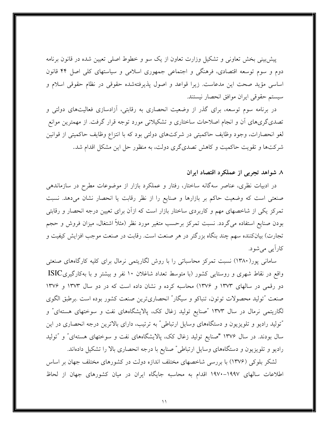پیش بینی بخش تعاونی و تشکیل وزارت تعاون از یک سو و خطوط اصلی تعیین شده در قانون برنامه دوم و سوم توسعه اقتصادی، فرهنگی و اجتماعی جمهوری اسلامی و سیاستهای کلی اصل ۴۴ قانون اساسی مؤید صحت این مدعاست. زیرا قواعد و اصول پذیرفتهشده حقوقی در نظام حقوقی اسلام و سيستم حقوقي ايران موافق انحصار نيستند.

در برنامه سوم توسعه، برای گذر از وضعیت انحصاری به رقابتی، آزادسازی فعالیتهای دولتی و تصدیگریهای آن و انجام اصلاحات ساختاری و تشکیلاتی مورد توجه قرار گرفت. از مهمترین موانع لغو انحصارات، وجود وظايف حاكميتي در شركتهاي دولتي بود كه با انتزاع وظايف حاكميتي از قوانين شرکتها و تقویت حاکمیت و کاهش تصدیگری دولت، به منظور حل این مشکل اقدام شد.

## ۸ شواهد تجربی از عملکرد اقتصاد ایران

در ادبیات نظری، عناصر سهگانه ساختار، رفتار و عملکرد بازار از موضوعات مطرح در سازماندهی صنعتی است که وضعیت حاکم بر بازارها و صنایع را از نظر رقابت یا انحصار نشان میدهد. نسبت تمرکز یکی از شاخصهای مهم و کاربردی ساختار بازار است که ازآن برای تعیین درجه انحصار و رقابتی بودن صنایع استفاده میگردد. نسبت تمرکز برحسب متغیر مورد نظر (مثلاً اشتغال، میزان فروش و حجم تجارت) بیانکننده سهم چند بنگاه بزرگتر در هر صنعت است. رقابت در صنعت موجب افزایش کیفیت و کارآيي مي شو د.

سامانی پور(۱۳۸۰) نسبت تمرکز محاسباتی را با روش لگاریتمی نرمال برای کلیه کارگاههای صنعتی واقع در نقاط شهری و روستایی کشور (با متوسط تعداد شاغلان ۱۰ نفر و بیشتر و با بهکارگیریISIC دو رقمی در سالهای ۱۳۷۳ و ۱۳۷۶) محاسبه کرده و نشان داده است که در دو سال ۱۳۷۳ و ۱۳۷۶ صنعت "توليد محصولات توتون، تنباكو و سيگار" انحصارىترين صنعت كشور بوده است برطبق الگوى لگاریتمی نرمال در سال ۱۳۷۳ "صنایع تولید زغال کک، پالایشگاههای نفت و سوختهای هستهای" و "تولید رادیو و تلویزیون و دستگاههای وسایل ارتباطی" به ترتیب، دارای بالاترین درجه انحصاری در این سال بودند. در سال ۱۳۷۶ "صنایع تولید زغال کک، پالایشگاههای نفت و سوختهای هستهای" و "تولید رادیو و تلویزیون و دستگاههای وسایل ارتباطی ٌ صنایع با درجه انحصاری بالا را تشکیل دادهاند.

لشکر بلوکی (۱۳۷۶) با بررسی شاخصهای مختلف اندازه دولت در کشورهای مختلف جهان بر اساس اطلاعات سالهای ۱۹۹۷–۱۹۷۰ اقدام به محاسبه جایگاه ایران در میان کشورهای جهان از لحاظ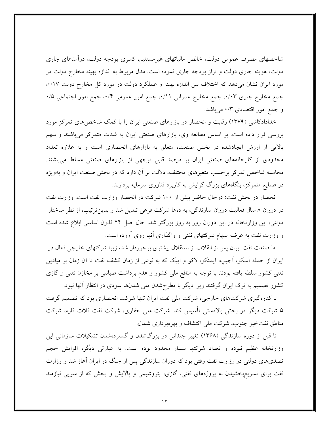شاخصهای مصرف عمومی دولت، خالص مالیاتهای غیرمستقیم، کسری بودجه دولت، درآمدهای جاری دولت، هزینه جاری دولت و تراز بودجه جاری نموده است. مدل مربوط به اندازه بهینه مخارج دولت در مورد ایران نشان میدهد که اختلاف بین اندازه بهینه و عملکرد دولت در مورد کل مخارج دولت ٠/١٧، جمع مخارج جاري ٠/٠٣، جمع مخارج عمراني ٠/١١، جمع امور عمومي ٠/٣، جمع امور اجتماعي ٠/٥ و جمع امور اقتصادی ۰/۳ میباشد.

خدادادکاشی (۱۳۷۹) رقابت و انحصار در بازارهای صنعتی ایران را با کمک شاخص های تمرکز مورد بررسی قرار داده است. بر اساس مطالعه وی، بازارهای صنعتی ایران به شدت متمرکز میباشند و سهم بالایی از ارزش ایجادشده در بخش صنعت، متعلق به بازارهای انحصاری است و به علاوه تعداد محدودی از کارخانههای صنعتی ایران بر درصد قابل توجهی از بازارهای صنعتی مسلط میباشند. محاسبه شاخص تمرکز برحسب متغیرهای مختلف، دلالت بر آن دارد که در بخش صنعت ایران و بهویژه در صنایع متمرکز، بنگاههای بزرگ گرایش به کاربرد فناوری سرمایه بردارند.

انحصار در بخش نفت: درحال حاضر بیش از ۱۰۰ شرکت در انحصار وزارت نفت است. وزارت نفت در دوران ۸ سال فعالیت دوران سازندگی، به دهها شرکت فرعی تبدیل شد و بدینترتیب، از نظر ساختار دولتی، این وزارتخانه در این دوران روز به روز بزرگتر شد. حال اصل ۴۴ قانون اساسی ابلاغ شده است و وزارت نفت به عرضه سهام شرکتهای نفتی و واگذاری آنها روی آورده است.

اما صنعت نفت ایران پس از انقلاب از استقلال بیشتری برخوردار شد، زیرا شرکتهای خارجی فعال در ایران از جمله آسکو، آجیپ، ایمنکو، لاکو و ایپک که به نوعی از زمان کشف نفت تا اَن زمان بر میادین نفتی کشور سلطه یافته بودند با توجه به منافع ملی کشور و عدم برداشت صیانتی بر مخازن نفتی و گازی کشور تصمیم به ترک ایران گرفتند زیرا دیگر با مطرحشدن ملی شدنها سودی در انتظار آنها نبود.

با کنارهگیری شرکتهای خارجی، شرکت ملی نفت ایران تنها شرکت انحصاری بود که تصمیم گرفت ۵ شرکت دیگر در بخش بالادستی تأسیس کند: شرکت ملی حفاری، شرکت نفت فلات قاره، شرکت مناطق نفتخیز جنوب، شرکت ملی اکتشاف و بهرهبرداری شمال.

تا قبل از دوره سازندگی (۱۳۶۸) تغییر چندانی در بزرگشدن و گستردهشدن تشکیلات سازمانی این وزارتخانه عظیم نبوده و تعداد شرکتها بسیار محدود بوده است. به عبارتی دیگر، افزایش حجم تصدیهای دولتی در وزارت نفت وقتی بود که دوران سازندگی پس از جنگ در ایران آغاز شد و وزارت نفت برای تسریعبخشیدن به پروژههای نفتی، گازی، پتروشیمی و پالایش و پخش که از سویی نیازمند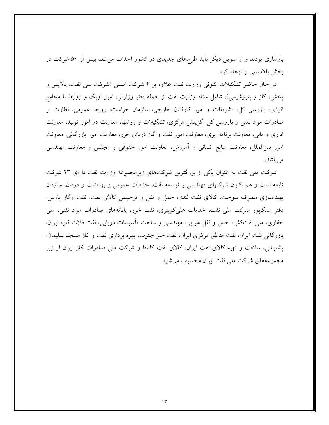بازسازی بودند و از سویی دیگر باید طرحهای جدیدی در کشور احداث می شد، بیش از ۵۰ شرکت در بخش بالادستی را ایجاد کرد.

در حال حاضر تشکیلات کنونی وزارت نفت علاوه بر ۴ شرکت اصلی (شرکت ملی نفت، پالایش و پخش، گاز و پتروشیمی)، شامل ستاد وزارت نفت از جمله دفتر وزارتی، امور اوپک و روابط با مجامع انرژی، بازرسی کل، تشریفات و امور کارکنان خارجی، سازمان حراست، روابط عمومی، نظارت بر صادرات مواد نفتی و بازرسی کل، گزینش مرکزی، تشکیلات و روشها، معاونت در امور تولید، معاونت اداری و مالی، معاونت برنامهریزی، معاونت امور نفت و گاز دریای خزر، معاونت امور بازرگانی، معاونت امور بینالملل، معاونت منابع انسانی و آموزش، معاونت امور حقوقی و مجلس و معاونت مهندسی مى باشد.

شرکت ملی نفت به عنوان یکی از بزرگترین شرکتهای زیرمجموعه وزارت نفت دارای ۲۳ شرکت تابعه است و هم اکنون شرکتهای مهندسی و توسعه نفت، خدمات عمومی و بهداشت و درمان، سازمان بهینهسازی مصرف سوخت، کالای نفت لندن، حمل و نقل و ترخیص کالای نفت، نفت وگاز پارس، دفتر سنگاپور شرکت ملی نفت، خدمات هلی کویتری، نفت خزر، پایانههای صادرات مواد نفتی، ملی حفاري، ملي نفتكش، حمل و نقل هوايي، مهندسي و ساخت تأسيسات دريايي، نفت فلات قاره ايران، بازرگانی نفت ایران، نفت مناطق مرکزی ایران، نفت خیز جنوب، بهره برداری نفت و گاز مسجد سلیمان، یشتیبانی، ساخت و تهیه کالای نفت ایران، کالای نفت کانادا و شرکت ملی صادرات گاز ایران از زیر مجموعههای شرکت ملی نفت ایران محسوب می شود.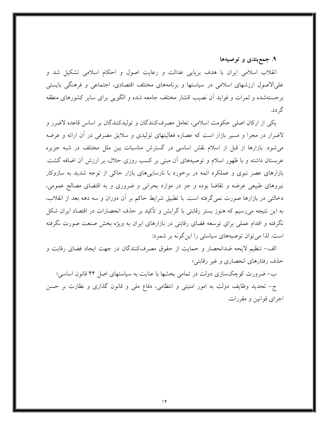۹. جمعېندي و توصيهها

انقلاب اسلامی ایران با هدف برپایی عدالت و رعایت اصول و احکام اسلامی تشکیل شد و علیالاصول ارزشهای اسلامی در سیاستها و برنامههای مختلف اقتصادی، اجتماعی و فرهنگی بایستی برجستهشده و ثمرات و فوايد أن نصيب اقشار مختلف جامعه شده و الگويبي براي ساير كشورهاي منطقه گر دد.

يكي از اركان اصلي حكومت اسلامي، تعامل مصرفكنندگان و توليدكنندگان بر اساس قاعده لاضرر و لاضرار در مجرا و مسیر بازار است که عصاره فعالیتهای تولیدی و سلایق مصرفی در آن ارائه و عرضه می شود. بازارها از قبل از اسلام نقش اساسی در گسترش مناسبات بین ملل مختلف در شبه جزیره عربستان داشته و با ظهور اسلام و توصیههای آن مبنی بر کسب روزی حلال، بر ارزش آن اضافه گشت. بازارهای عصر نبوی و عملکرد ائمه در برخورد با نارساییهای بازار حاکی از توجه شدید به سازوکار نیروهای طبیعی عرضه و تقاضا بوده و جز در موارد بحرانی و ضروری و به اقتضای مصالح عمومی، دخالتی در بازارها صورت نمی گرفته است. با تطبیق شرایط حاکم بر آن دوران و سه دهه بعد از انقلاب، به این نتیجه میرسیم که هنوز بستر رقابتی با گرایش و تأکید بر حذف انحصارات در اقتصاد ایران شکل نگرفته و اقدام عملی برای توسعه فضای رقابتی در بازارهای ایران به ویژه بخش صنعت صورت نگرفته است. لذا می توان توصیههای سیاستی را این گونه بر شمرد:

الف- تنظیم لایحه ضدانحصار و حمایت از حقوق مصرفکنندگان در جهت ایجاد فضای رقابت و حذف رفتارهاي انحصاري و غير رقابتي؛

ب-ضرورت کوچکسازی دولت در تمامی بخشها با عنایت به سیاستهای اصل ۴۴ قانون اساسی؛ ج– تحدید وظایف دولت به امور امنیتی و انتظامی، دفاع ملی و قانون گذاری و نظارت بر حسن اجرای قوانین و مقررات.